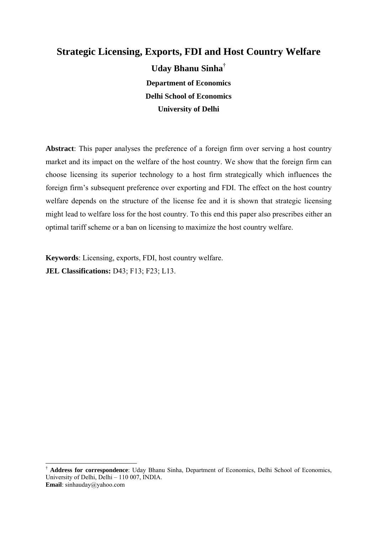# **Strategic Licensing, Exports, FDI and Host Country Welfare Uday Bhanu Sinha**[†](#page-0-0) **Department of Economics Delhi School of Economics University of Delhi**

**Abstract**: This paper analyses the preference of a foreign firm over serving a host country market and its impact on the welfare of the host country. We show that the foreign firm can choose licensing its superior technology to a host firm strategically which influences the foreign firm's subsequent preference over exporting and FDI. The effect on the host country welfare depends on the structure of the license fee and it is shown that strategic licensing might lead to welfare loss for the host country. To this end this paper also prescribes either an optimal tariff scheme or a ban on licensing to maximize the host country welfare.

**Keywords**: Licensing, exports, FDI, host country welfare. **JEL Classifications:** D43; F13; F23; L13.

 $\overline{a}$ 

<span id="page-0-0"></span><sup>†</sup> **Address for correspondence**: Uday Bhanu Sinha, Department of Economics, Delhi School of Economics, University of Delhi, Delhi – 110 007, INDIA. **Email**: sinhauday@yahoo.com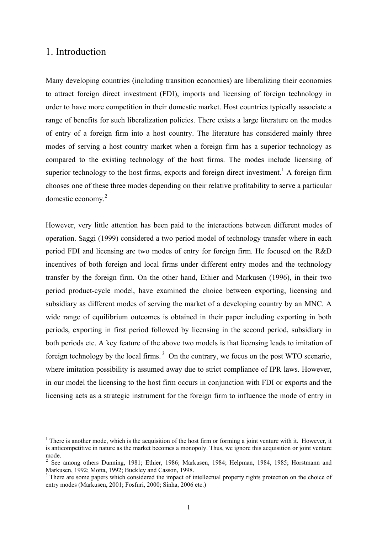## 1. Introduction

Many developing countries (including transition economies) are liberalizing their economies to attract foreign direct investment (FDI), imports and licensing of foreign technology in order to have more competition in their domestic market. Host countries typically associate a range of benefits for such liberalization policies. There exists a large literature on the modes of entry of a foreign firm into a host country. The literature has considered mainly three modes of serving a host country market when a foreign firm has a superior technology as compared to the existing technology of the host firms. The modes include licensing of superior technology to the host firms, exports and foreign direct investment.<sup>[1](#page-1-0)</sup> A foreign firm chooses one of these three modes depending on their relative profitability to serve a particular domestic economy. [2](#page-1-1)

However, very little attention has been paid to the interactions between different modes of operation. Saggi (1999) considered a two period model of technology transfer where in each period FDI and licensing are two modes of entry for foreign firm. He focused on the R&D incentives of both foreign and local firms under different entry modes and the technology transfer by the foreign firm. On the other hand, Ethier and Markusen (1996), in their two period product-cycle model, have examined the choice between exporting, licensing and subsidiary as different modes of serving the market of a developing country by an MNC. A wide range of equilibrium outcomes is obtained in their paper including exporting in both periods, exporting in first period followed by licensing in the second period, subsidiary in both periods etc. A key feature of the above two models is that licensing leads to imitation of foreign technology by the local firms.<sup>3</sup> On the contrary, we focus on the post WTO scenario, where imitation possibility is assumed away due to strict compliance of IPR laws. However, in our model the licensing to the host firm occurs in conjunction with FDI or exports and the licensing acts as a strategic instrument for the foreign firm to influence the mode of entry in

<span id="page-1-0"></span><sup>|&</sup>lt;br>|<br>| <sup>1</sup> There is another mode, which is the acquisition of the host firm or forming a joint venture with it. However, it is anticompetitive in nature as the market becomes a monopoly. Thus, we ignore this acquisition or joint venture mode.

<span id="page-1-1"></span><sup>&</sup>lt;sup>2</sup> See among others Dunning, 1981; Ethier, 1986; Markusen, 1984; Helpman, 1984, 1985; Horstmann and Markusen, 1992; Motta, 1992; Buckley and Casson, 1998.

<span id="page-1-2"></span><sup>&</sup>lt;sup>3</sup> There are some papers which considered the impact of intellectual property rights protection on the choice of entry modes (Markusen, 2001; Fosfuri, 2000; Sinha, 2006 etc.)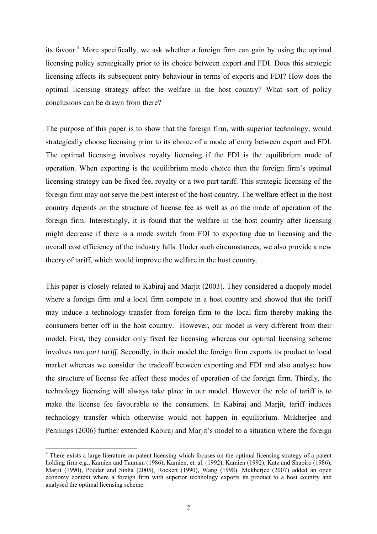its favour.<sup>[4](#page-2-0)</sup> More specifically, we ask whether a foreign firm can gain by using the optimal licensing policy strategically prior to its choice between export and FDI. Does this strategic licensing affects its subsequent entry behaviour in terms of exports and FDI? How does the optimal licensing strategy affect the welfare in the host country? What sort of policy conclusions can be drawn from there?

The purpose of this paper is to show that the foreign firm, with superior technology, would strategically choose licensing prior to its choice of a mode of entry between export and FDI. The optimal licensing involves royalty licensing if the FDI is the equilibrium mode of operation. When exporting is the equilibrium mode choice then the foreign firm's optimal licensing strategy can be fixed fee, royalty or a two part tariff. This strategic licensing of the foreign firm may not serve the best interest of the host country. The welfare effect in the host country depends on the structure of license fee as well as on the mode of operation of the foreign firm. Interestingly, it is found that the welfare in the host country after licensing might decrease if there is a mode switch from FDI to exporting due to licensing and the overall cost efficiency of the industry falls. Under such circumstances, we also provide a new theory of tariff, which would improve the welfare in the host country.

This paper is closely related to Kabiraj and Marjit (2003). They considered a duopoly model where a foreign firm and a local firm compete in a host country and showed that the tariff may induce a technology transfer from foreign firm to the local firm thereby making the consumers better off in the host country. However, our model is very different from their model. First, they consider only fixed fee licensing whereas our optimal licensing scheme involves *two part tariff*. Secondly, in their model the foreign firm exports its product to local market whereas we consider the tradeoff between exporting and FDI and also analyse how the structure of license fee affect these modes of operation of the foreign firm. Thirdly, the technology licensing will always take place in our model. However the role of tariff is to make the license fee favourable to the consumers. In Kabiraj and Marjit, tariff induces technology transfer which otherwise would not happen in equilibrium. Mukherjee and Pennings (2006) further extended Kabiraj and Marjit's model to a situation where the foreign

<span id="page-2-0"></span> <sup>4</sup> <sup>4</sup> There exists a large literature on patent licensing which focuses on the optimal licensing strategy of a patent holding firm e.g., Kamien and Tauman (1986), Kamien, et. al. (1992), Kamien (1992); Katz and Shapiro (1986), Marjit (1990), Poddar and Sinha (2005), Rockett (1990), Wang (1998). Mukherjee (2007) added an open economy context where a foreign firm with superior technology exports its product to a host country and analysed the optimal licensing scheme.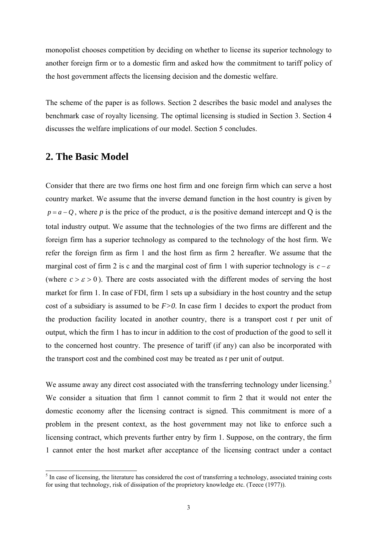monopolist chooses competition by deciding on whether to license its superior technology to another foreign firm or to a domestic firm and asked how the commitment to tariff policy of the host government affects the licensing decision and the domestic welfare.

The scheme of the paper is as follows. Section 2 describes the basic model and analyses the benchmark case of royalty licensing. The optimal licensing is studied in Section 3. Section 4 discusses the welfare implications of our model. Section 5 concludes.

# **2. The Basic Model**

Consider that there are two firms one host firm and one foreign firm which can serve a host country market. We assume that the inverse demand function in the host country is given by  $p = a - Q$ , where p is the price of the product, a is the positive demand intercept and Q is the total industry output. We assume that the technologies of the two firms are different and the foreign firm has a superior technology as compared to the technology of the host firm. We refer the foreign firm as firm 1 and the host firm as firm 2 hereafter. We assume that the marginal cost of firm 2 is c and the marginal cost of firm 1 with superior technology is  $c - \varepsilon$ (where  $c > \varepsilon > 0$ ). There are costs associated with the different modes of serving the host market for firm 1. In case of FDI, firm 1 sets up a subsidiary in the host country and the setup cost of a subsidiary is assumed to be *F>0*. In case firm 1 decides to export the product from the production facility located in another country, there is a transport cost *t* per unit of output, which the firm 1 has to incur in addition to the cost of production of the good to sell it to the concerned host country. The presence of tariff (if any) can also be incorporated with the transport cost and the combined cost may be treated as *t* per unit of output.

We assume away any direct cost associated with the transferring technology under licensing.<sup>5</sup> We consider a situation that firm 1 cannot commit to firm 2 that it would not enter the domestic economy after the licensing contract is signed. This commitment is more of a problem in the present context, as the host government may not like to enforce such a licensing contract, which prevents further entry by firm 1. Suppose, on the contrary, the firm 1 cannot enter the host market after acceptance of the licensing contract under a contact

<span id="page-3-0"></span> <sup>5</sup> <sup>5</sup> In case of licensing, the literature has considered the cost of transferring a technology, associated training costs for using that technology, risk of dissipation of the proprietory knowledge etc. (Teece (1977)).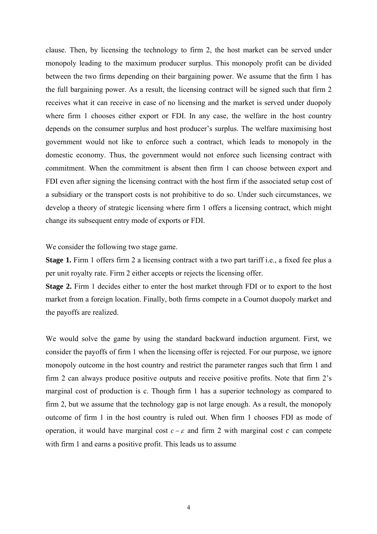clause. Then, by licensing the technology to firm 2, the host market can be served under monopoly leading to the maximum producer surplus. This monopoly profit can be divided between the two firms depending on their bargaining power. We assume that the firm 1 has the full bargaining power. As a result, the licensing contract will be signed such that firm 2 receives what it can receive in case of no licensing and the market is served under duopoly where firm 1 chooses either export or FDI. In any case, the welfare in the host country depends on the consumer surplus and host producer's surplus. The welfare maximising host government would not like to enforce such a contract, which leads to monopoly in the domestic economy. Thus, the government would not enforce such licensing contract with commitment. When the commitment is absent then firm 1 can choose between export and FDI even after signing the licensing contract with the host firm if the associated setup cost of a subsidiary or the transport costs is not prohibitive to do so. Under such circumstances, we develop a theory of strategic licensing where firm 1 offers a licensing contract, which might change its subsequent entry mode of exports or FDI.

#### We consider the following two stage game.

**Stage 1.** Firm 1 offers firm 2 a licensing contract with a two part tariff i.e., a fixed fee plus a per unit royalty rate. Firm 2 either accepts or rejects the licensing offer.

**Stage 2.** Firm 1 decides either to enter the host market through FDI or to export to the host market from a foreign location. Finally, both firms compete in a Cournot duopoly market and the payoffs are realized.

We would solve the game by using the standard backward induction argument. First, we consider the payoffs of firm 1 when the licensing offer is rejected. For our purpose, we ignore monopoly outcome in the host country and restrict the parameter ranges such that firm 1 and firm 2 can always produce positive outputs and receive positive profits. Note that firm 2's marginal cost of production is c. Though firm 1 has a superior technology as compared to firm 2, but we assume that the technology gap is not large enough. As a result, the monopoly outcome of firm 1 in the host country is ruled out. When firm 1 chooses FDI as mode of operation, it would have marginal cost  $c - \varepsilon$  and firm 2 with marginal cost  $c$  can compete with firm 1 and earns a positive profit. This leads us to assume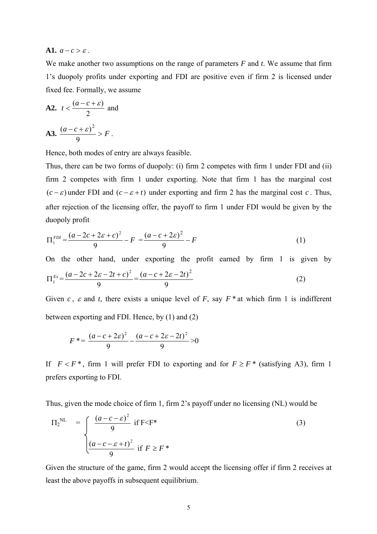#### **A1.**  $a-c > \varepsilon$ .

We make another two assumptions on the range of parameters *F* and *t*. We assume that firm 1's duopoly profits under exporting and FDI are positive even if firm 2 is licensed under fixed fee. Formally, we assume

A2. 
$$
t < \frac{(a-c+\varepsilon)}{2}
$$
 and  
A3.  $\frac{(a-c+\varepsilon)^2}{9} > F$ .

Hence, both modes of entry are always feasible.

Thus, there can be two forms of duopoly: (i) firm 2 competes with firm 1 under FDI and (ii) firm 2 competes with firm 1 under exporting. Note that firm 1 has the marginal cost  $(c - \varepsilon)$  under FDI and  $(c - \varepsilon + t)$  under exporting and firm 2 has the marginal cost *c*. Thus, after rejection of the licensing offer, the payoff to firm 1 under FDI would be given by the duopoly profit

$$
\Pi_1^{FDI} = \frac{(a - 2c + 2\varepsilon + c)^2}{9} - F = \frac{(a - c + 2\varepsilon)^2}{9} - F \tag{1}
$$

On the other hand, under exporting the profit earned by firm 1 is given by  $\Pi_1^{Ex} = \frac{(a-2c+2\varepsilon-2t+c)^2}{9} = \frac{(a-c+2\varepsilon-2t)^2}{9}$  (2)

Given c,  $\varepsilon$  and t, there exists a unique level of F, say  $F^*$  at which firm 1 is indifferent between exporting and FDI. Hence, by (1) and (2)

$$
F^* = \frac{(a-c+2\varepsilon)^2}{9} - \frac{(a-c+2\varepsilon-2t)^2}{9} > 0
$$

If  $F < F^*$ , firm 1 will prefer FDI to exporting and for  $F \geq F^*$  (satisfying A3), firm 1 prefers exporting to FDI.

Thus, given the mode choice of firm 1, firm 2's payoff under no licensing (NL) would be

$$
\Pi_2^{\text{NL}} = \begin{cases} \frac{(a-c-\varepsilon)^2}{9} & \text{if } F \leq F^* \\ \frac{(a-c-\varepsilon+t)^2}{9} & \text{if } F \geq F^* \end{cases}
$$
 (3)

Given the structure of the game, firm 2 would accept the licensing offer if firm 2 receives at least the above payoffs in subsequent equilibrium.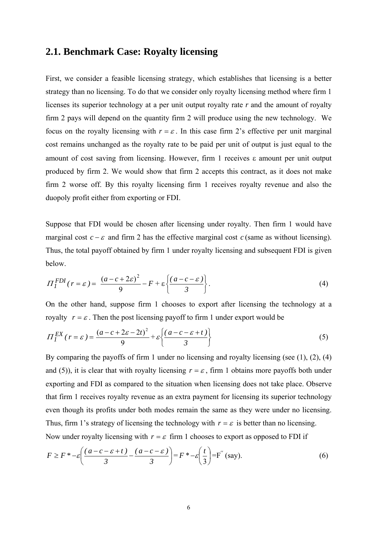# **2.1. Benchmark Case: Royalty licensing**

First, we consider a feasible licensing strategy, which establishes that licensing is a better strategy than no licensing. To do that we consider only royalty licensing method where firm 1 licenses its superior technology at a per unit output royalty rate *r* and the amount of royalty firm 2 pays will depend on the quantity firm 2 will produce using the new technology. We focus on the royalty licensing with  $r = \varepsilon$ . In this case firm 2's effective per unit marginal cost remains unchanged as the royalty rate to be paid per unit of output is just equal to the amount of cost saving from licensing. However, firm 1 receives ε amount per unit output produced by firm 2. We would show that firm 2 accepts this contract, as it does not make firm 2 worse off. By this royalty licensing firm 1 receives royalty revenue and also the duopoly profit either from exporting or FDI.

Suppose that FDI would be chosen after licensing under royalty. Then firm 1 would have marginal cost  $c - \varepsilon$  and firm 2 has the effective marginal cost *c* (same as without licensing). Thus, the total payoff obtained by firm 1 under royalty licensing and subsequent FDI is given below.

$$
\Pi_1^{FDI}(r=\varepsilon) = \frac{(a-c+2\varepsilon)^2}{9} - F + \varepsilon \left\{ \frac{(a-c-\varepsilon)}{3} \right\}.
$$
 (4)

On the other hand, suppose firm 1 chooses to export after licensing the technology at a royalty  $r = \varepsilon$ . Then the post licensing payoff to firm 1 under export would be

$$
\Pi_1^{EX}(r=\varepsilon) = \frac{(a-c+2\varepsilon-2t)^2}{9} + \varepsilon \left\{ \frac{(a-c-\varepsilon+t)}{3} \right\} \tag{5}
$$

By comparing the payoffs of firm 1 under no licensing and royalty licensing (see (1), (2), (4) and (5)), it is clear that with royalty licensing  $r = \varepsilon$ , firm 1 obtains more payoffs both under exporting and FDI as compared to the situation when licensing does not take place. Observe that firm 1 receives royalty revenue as an extra payment for licensing its superior technology even though its profits under both modes remain the same as they were under no licensing. Thus, firm 1's strategy of licensing the technology with  $r = \varepsilon$  is better than no licensing. Now under royalty licensing with  $r = \varepsilon$  firm 1 chooses to export as opposed to FDI if

$$
F \ge F^* - \varepsilon \left( \frac{(a - c - \varepsilon + t)}{3} - \frac{(a - c - \varepsilon)}{3} \right) = F^* - \varepsilon \left( \frac{t}{3} \right) = F'' \text{ (say)}.
$$
 (6)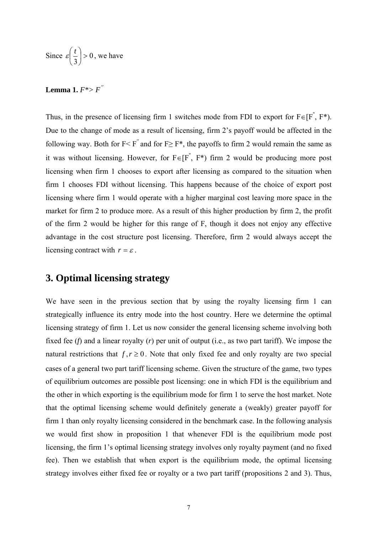Since 
$$
\varepsilon \left( \frac{t}{3} \right) > 0
$$
, we have

## **Lemma 1.** *F\*> F*′′

Thus, in the presence of licensing firm 1 switches mode from FDI to export for  $F \in [F^{\prime}, F^{\ast})$ . Due to the change of mode as a result of licensing, firm 2's payoff would be affected in the following way. Both for  $F \le F''$  and for  $F \ge F^*$ , the payoffs to firm 2 would remain the same as it was without licensing. However, for  $F \in [F^{\prime}, F^{\ast})$  firm 2 would be producing more post licensing when firm 1 chooses to export after licensing as compared to the situation when firm 1 chooses FDI without licensing. This happens because of the choice of export post licensing where firm 1 would operate with a higher marginal cost leaving more space in the market for firm 2 to produce more. As a result of this higher production by firm 2, the profit of the firm 2 would be higher for this range of F, though it does not enjoy any effective advantage in the cost structure post licensing. Therefore, firm 2 would always accept the licensing contract with  $r = \varepsilon$ .

# **3. Optimal licensing strategy**

We have seen in the previous section that by using the royalty licensing firm 1 can strategically influence its entry mode into the host country. Here we determine the optimal licensing strategy of firm 1. Let us now consider the general licensing scheme involving both fixed fee (*f*) and a linear royalty (*r*) per unit of output (i.e., as two part tariff). We impose the natural restrictions that  $f, r \ge 0$ . Note that only fixed fee and only royalty are two special cases of a general two part tariff licensing scheme. Given the structure of the game, two types of equilibrium outcomes are possible post licensing: one in which FDI is the equilibrium and the other in which exporting is the equilibrium mode for firm 1 to serve the host market. Note that the optimal licensing scheme would definitely generate a (weakly) greater payoff for firm 1 than only royalty licensing considered in the benchmark case. In the following analysis we would first show in proposition 1 that whenever FDI is the equilibrium mode post licensing, the firm 1's optimal licensing strategy involves only royalty payment (and no fixed fee). Then we establish that when export is the equilibrium mode, the optimal licensing strategy involves either fixed fee or royalty or a two part tariff (propositions 2 and 3). Thus,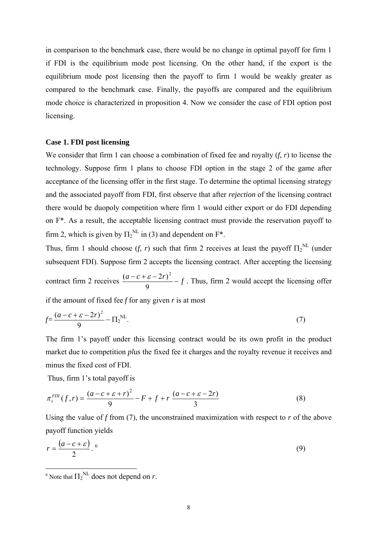in comparison to the benchmark case, there would be no change in optimal payoff for firm 1 if FDI is the equilibrium mode post licensing. On the other hand, if the export is the equilibrium mode post licensing then the payoff to firm 1 would be weakly greater as compared to the benchmark case. Finally, the payoffs are compared and the equilibrium mode choice is characterized in proposition 4. Now we consider the case of FDI option post licensing.

#### **Case 1. FDI post licensing**

We consider that firm 1 can choose a combination of fixed fee and royalty (*f, r*) to license the technology. Suppose firm 1 plans to choose FDI option in the stage 2 of the game after acceptance of the licensing offer in the first stage. To determine the optimal licensing strategy and the associated payoff from FDI, first observe that after *rejection* of the licensing contract there would be duopoly competition where firm 1 would either export or do FDI depending on F\*. As a result, the acceptable licensing contract must provide the reservation payoff to firm 2, which is given by  $\Pi_2^{\text{NL}}$  in (3) and dependent on F<sup>\*</sup>.

Thus, firm 1 should choose (*f, r*) such that firm 2 receives at least the payoff  $\Pi_2^{\text{NL}}$  (under subsequent FDI). Suppose firm 2 accepts the licensing contract. After accepting the licensing contract firm 2 receives  $\frac{(a-c+\varepsilon-2r)^2}{2} - f$ 9  $\frac{(a-c+\varepsilon-2r)^2}{2} - f$ . Thus, firm 2 would accept the licensing offer

if the amount of fixed fee *f* for any given *r* is at most

$$
f = \frac{(a - c + \varepsilon - 2r)^2}{9} - \Pi_2^{\text{NL}}.
$$
 (7)

The firm 1's payoff under this licensing contract would be its own profit in the product market due to competition *plus* the fixed fee it charges and the royalty revenue it receives and minus the fixed cost of FDI.

Thus, firm 1's total payoff is

$$
\pi_1^{FDI}(f,r) = \frac{(a-c+\varepsilon+r)^2}{9} - F + f + r \frac{(a-c+\varepsilon-2r)}{3}
$$
\n(8)

Using the value of *f* from (7), the unconstrained maximization with respect to *r* of the above payoff function yields

$$
r = \frac{(a - c + \varepsilon)}{2}.
$$
 (9)

<span id="page-8-0"></span> $\overline{6}$ Note that  $\Pi_2^{\text{NL}}$  does not depend on *r*.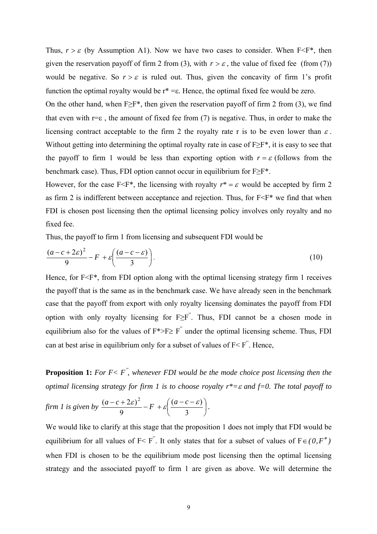Thus,  $r > \varepsilon$  (by Assumption A1). Now we have two cases to consider. When F<F\*, then given the reservation payoff of firm 2 from (3), with  $r > \varepsilon$ , the value of fixed fee (from (7)) would be negative. So  $r > \varepsilon$  is ruled out. Thus, given the concavity of firm 1's profit function the optimal royalty would be  $r^* = \varepsilon$ . Hence, the optimal fixed fee would be zero.

On the other hand, when  $F \geq F^*$ , then given the reservation payoff of firm 2 from (3), we find that even with  $r = \epsilon$ , the amount of fixed fee from (7) is negative. Thus, in order to make the licensing contract acceptable to the firm 2 the royalty rate r is to be even lower than  $\varepsilon$ . Without getting into determining the optimal royalty rate in case of F≥F<sup>\*</sup>, it is easy to see that the payoff to firm 1 would be less than exporting option with  $r = \varepsilon$  (follows from the benchmark case). Thus, FDI option cannot occur in equilibrium for  $F \geq F^*$ .

However, for the case F<F<sup>\*</sup>, the licensing with royalty  $r^* = \varepsilon$  would be accepted by firm 2 as firm 2 is indifferent between acceptance and rejection. Thus, for  $F \le F^*$  we find that when FDI is chosen post licensing then the optimal licensing policy involves only royalty and no fixed fee.

Thus, the payoff to firm 1 from licensing and subsequent FDI would be

$$
\frac{(a-c+2\varepsilon)^2}{9} - F + \varepsilon \left( \frac{(a-c-\varepsilon)}{3} \right).
$$
 (10)

Hence, for  $F \leq F^*$ , from FDI option along with the optimal licensing strategy firm 1 receives the payoff that is the same as in the benchmark case. We have already seen in the benchmark case that the payoff from export with only royalty licensing dominates the payoff from FDI option with only royalty licensing for  $F \geq F''$ . Thus, FDI cannot be a chosen mode in equilibrium also for the values of  $F^* > F \geq F'$  under the optimal licensing scheme. Thus, FDI can at best arise in equilibrium only for a subset of values of  $F \le F^{\prime\prime}$ . Hence

**Proposition 1:** For F< F<sup>"</sup>, whenever FDI would be the mode choice post licensing then the *optimal licensing strategy for firm 1 is to choose royalty r\*=*ε *and f=0. The total payoff to* 

*firm 1 is given by* 
$$
\frac{(a-c+2\varepsilon)^2}{9} - F + \varepsilon \left( \frac{(a-c-\varepsilon)}{3} \right).
$$

We would like to clarify at this stage that the proposition 1 does not imply that FDI would be equilibrium for all values of  $F \le F''$ . It only states that for a subset of values of  $F \in (0, F'')$ when FDI is chosen to be the equilibrium mode post licensing then the optimal licensing strategy and the associated payoff to firm 1 are given as above. We will determine the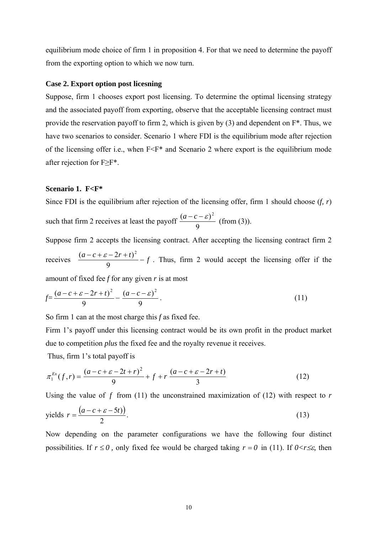equilibrium mode choice of firm 1 in proposition 4. For that we need to determine the payoff from the exporting option to which we now turn.

#### **Case 2. Export option post licesning**

Suppose, firm 1 chooses export post licensing. To determine the optimal licensing strategy and the associated payoff from exporting, observe that the acceptable licensing contract must provide the reservation payoff to firm 2, which is given by (3) and dependent on F\*. Thus, we have two scenarios to consider. Scenario 1 where FDI is the equilibrium mode after rejection of the licensing offer i.e., when  $F \leq F^*$  and Scenario 2 where export is the equilibrium mode after rejection for F≥F\*.

#### **Scenario 1. F<F\***

Since FDI is the equilibrium after rejection of the licensing offer, firm 1 should choose (*f, r*) such that firm 2 receives at least the payoff  $\frac{(a-c-\varepsilon)^2}{9}$  (from (3)). Suppose firm 2 accepts the licensing contract. After accepting the licensing contract firm 2

 $\frac{(a-c+\varepsilon-2r+t)^2}{2}-f$ 9  $\frac{(a-c+\varepsilon-2r+t)^2}{2} - f$ . Thus, firm 2 would accept the licensing offer if the

amount of fixed fee *f* for any given *r* is at most

$$
f = \frac{(a - c + \varepsilon - 2r + t)^2}{9} - \frac{(a - c - \varepsilon)^2}{9}.
$$
\n(11)

So firm 1 can at the most charge this *f* as fixed fee.

Firm 1's payoff under this licensing contract would be its own profit in the product market due to competition *plus* the fixed fee and the royalty revenue it receives.

Thus, firm 1's total payoff is

$$
\pi_1^{Ex}(f,r) = \frac{(a-c+\varepsilon-2t+r)^2}{9} + f + r\frac{(a-c+\varepsilon-2r+t)}{3}
$$
\n(12)

Using the value of  $f$  from (11) the unconstrained maximization of (12) with respect to  $r$ 

$$
yields \t r = \frac{(a - c + \varepsilon - 5t)}{2}.
$$
\t(13)

Now depending on the parameter configurations we have the following four distinct possibilities. If  $r \leq 0$ , only fixed fee would be charged taking  $r = 0$  in (11). If  $0 \leq r \leq \varepsilon$ , then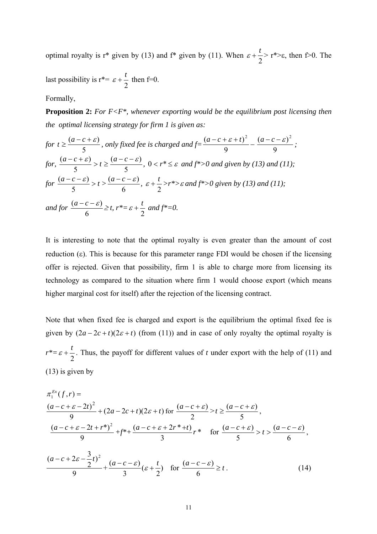optimal royalty is r<sup>\*</sup> given by (13) and f<sup>\*</sup> given by (11). When  $\varepsilon + \frac{t}{2} > r^* > \varepsilon$ , then f>0. The

last possibility is  $r^* = \varepsilon + \frac{t}{2}$  then f=0.

Formally,

**Proposition 2:** *For F<F\*, whenever exporting would be the equilibrium post licensing then the optimal licensing strategy for firm 1 is given as:* 

for 
$$
t \ge \frac{(a-c+\varepsilon)}{5}
$$
, only fixed fee is charged and  $f = \frac{(a-c+\varepsilon+t)^2}{9} - \frac{(a-c-\varepsilon)^2}{9}$ ;  
for,  $\frac{(a-c+\varepsilon)}{5} > t \ge \frac{(a-c-\varepsilon)}{5}$ ,  $0 < r^* \le \varepsilon$  and  $f^* > 0$  and given by (13) and (11);  
for  $\frac{(a-c-\varepsilon)}{5} > t > \frac{(a-c-\varepsilon)}{6}$ ,  $\varepsilon + \frac{t}{2} > r^* > \varepsilon$  and  $f^* > 0$  given by (13) and (11);  
and for  $\frac{(a-c-\varepsilon)}{6} \ge t$ ,  $r^* = \varepsilon + \frac{t}{2}$  and  $f^* = 0$ .

It is interesting to note that the optimal royalty is even greater than the amount of cost reduction (ε). This is because for this parameter range FDI would be chosen if the licensing offer is rejected. Given that possibility, firm 1 is able to charge more from licensing its technology as compared to the situation where firm 1 would choose export (which means higher marginal cost for itself) after the rejection of the licensing contract.

Note that when fixed fee is charged and export is the equilibrium the optimal fixed fee is given by  $(2a - 2c + t)(2\varepsilon + t)$  (from (11)) and in case of only royalty the optimal royalty is *r\*=* 2  $\varepsilon + \frac{t}{2}$ . Thus, the payoff for different values of *t* under export with the help of (11) and (13) is given by

$$
\pi_1^{Ex}(f,r) =
$$
\n
$$
\frac{(a-c+\varepsilon-2t)^2}{9} + (2a-2c+t)(2\varepsilon+t) \text{ for } \frac{(a-c+\varepsilon)}{2} > t \ge \frac{(a-c+\varepsilon)}{5},
$$
\n
$$
\frac{(a-c+\varepsilon-2t+r^*)^2}{9} + f^* + \frac{(a-c+\varepsilon+2r^*+t)}{3}r^* \quad \text{for } \frac{(a-c+\varepsilon)}{5} > t > \frac{(a-c-\varepsilon)}{6},
$$
\n
$$
\frac{(a-c+2\varepsilon-\frac{3}{2}t)^2}{9} + \frac{(a-c-\varepsilon)}{3}(\varepsilon+\frac{t}{2}) \quad \text{for } \frac{(a-c-\varepsilon)}{6} \ge t.
$$
\n(14)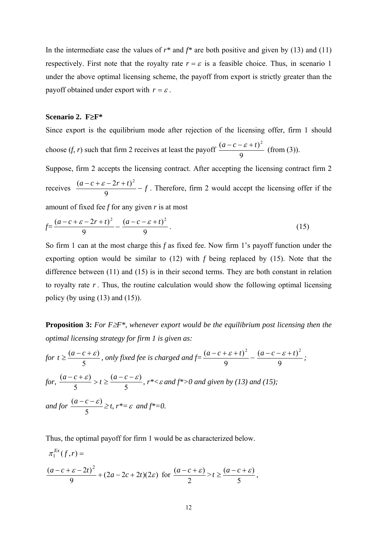In the intermediate case the values of  $r^*$  and  $f^*$  are both positive and given by (13) and (11) respectively. First note that the royalty rate  $r = \varepsilon$  is a feasible choice. Thus, in scenario 1 under the above optimal licensing scheme, the payoff from export is strictly greater than the payoff obtained under export with  $r = \varepsilon$ .

#### **Scenario 2. F**≥**F\***

Since export is the equilibrium mode after rejection of the licensing offer, firm 1 should choose (*f, r*) such that firm 2 receives at least the payoff  $\frac{(a-c-\varepsilon+t)^2}{9}$  (from (3)).

Suppose, firm 2 accepts the licensing contract. After accepting the licensing contract firm 2  $\frac{(a-c+\varepsilon-2r+t)^2}{2} - f$ 9  $\frac{(a-c+\varepsilon-2r+t)^2}{2}-f$ . Therefore, firm 2 would accept the licensing offer if the amount of fixed fee *f* for any given *r* is at most

$$
f = \frac{(a - c + \varepsilon - 2r + t)^2}{9} - \frac{(a - c - \varepsilon + t)^2}{9}.
$$
 (15)

So firm 1 can at the most charge this *f* as fixed fee. Now firm 1's payoff function under the exporting option would be similar to (12) with *f* being replaced by (15). Note that the difference between (11) and (15) is in their second terms. They are both constant in relation to royalty rate *r* . Thus, the routine calculation would show the following optimal licensing policy (by using (13) and (15)).

**Proposition 3:** *For F*≥*F\*, whenever export would be the equilibrium post licensing then the optimal licensing strategy for firm 1 is given as:* 

for 
$$
t \ge \frac{(a-c+\varepsilon)}{5}
$$
, only fixed fee is charged and  $f = \frac{(a-c+\varepsilon+t)^2}{9} - \frac{(a-c-\varepsilon+t)^2}{9}$ ;  
for,  $\frac{(a-c+\varepsilon)}{5} > t \ge \frac{(a-c-\varepsilon)}{5}$ ,  $r^* < \varepsilon$  and  $f^* > 0$  and given by (13) and (15);  
and for  $\frac{(a-c-\varepsilon)}{5} \ge t$ ,  $r^* = \varepsilon$  and  $f^* = 0$ .

Thus, the optimal payoff for firm 1 would be as characterized below.

$$
\pi_1^{Ex}(f,r) =
$$
\n
$$
\frac{(a-c+\varepsilon-2t)^2}{9} + (2a-2c+2t)(2\varepsilon) \text{ for } \frac{(a-c+\varepsilon)}{2} > t \ge \frac{(a-c+\varepsilon)}{5},
$$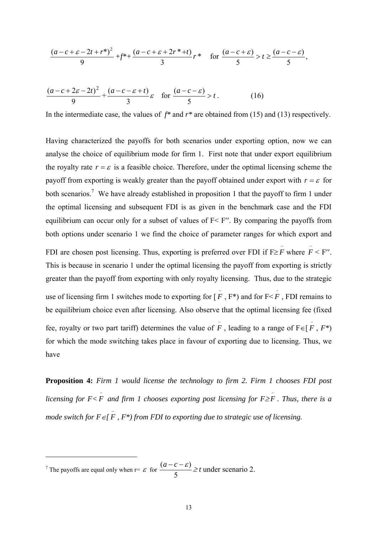$$
\frac{(a-c+\varepsilon-2t+r^*)^2}{9}+f^*+\frac{(a-c+\varepsilon+2r^*+t)}{3}r^* \quad \text{for } \frac{(a-c+\varepsilon)}{5}>t\geq \frac{(a-c-\varepsilon)}{5},
$$

$$
\frac{(a-c+2\varepsilon-2t)^2}{9} + \frac{(a-c-\varepsilon+t)}{3}\varepsilon \quad \text{for } \frac{(a-c-\varepsilon)}{5} > t.
$$
 (16)

In the intermediate case, the values of *f\** and *r\** are obtained from (15) and (13) respectively.

Having characterized the payoffs for both scenarios under exporting option, now we can analyse the choice of equilibrium mode for firm 1. First note that under export equilibrium the royalty rate  $r = \varepsilon$  is a feasible choice. Therefore, under the optimal licensing scheme the payoff from exporting is weakly greater than the payoff obtained under export with  $r = \varepsilon$  for both scenarios.<sup>7</sup> We have already established in proposition 1 that the payoff to firm 1 under the optimal licensing and subsequent FDI is as given in the benchmark case and the FDI equilibrium can occur only for a subset of values of  $F \leq F''$ . By comparing the payoffs from both options under scenario 1 we find the choice of parameter ranges for which export and FDI are chosen post licensing. Thus, exporting is preferred over FDI if  $F \geq F$  where  $F \leq F'$ . This is because in scenario 1 under the optimal licensing the payoff from exporting is strictly greater than the payoff from exporting with only royalty licensing. Thus, due to the strategic use of licensing firm 1 switches mode to exporting for  $\[ \overline{F}, F^* \]$  and for  $\overline{F} \leq \overline{F}$ , FDI remains to be equilibrium choice even after licensing. Also observe that the optimal licensing fee (fixed fee, royalty or two part tariff) determines the value of  $\overline{F}$ , leading to a range of  $F \in [\overline{F}, F^*)$ for which the mode switching takes place in favour of exporting due to licensing. Thus, we have

**Proposition 4:** *Firm 1 would license the technology to firm 2. Firm 1 chooses FDI post licensing for F<F and firm 1 chooses exporting post licensing for*  $F \geq F$ *. Thus, there is a mode switch for F* ∈[ $\overline{F}$ ,  $F^*$ ) from FDI to exporting due to strategic use of licensing.

<span id="page-13-0"></span><sup>7</sup> The payoffs are equal only when r=  $\varepsilon$  for  $\frac{(\mu + \varepsilon)}{5}$  $\frac{(a-c-\varepsilon)}{2} \geq t$  under scenario 2.

 $\overline{a}$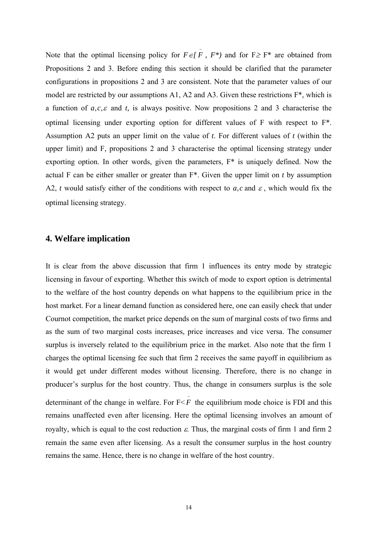Note that the optimal licensing policy for  $F \in [F, F^* )$  and for  $F \geq F^*$  are obtained from Propositions 2 and 3. Before ending this section it should be clarified that the parameter configurations in propositions 2 and 3 are consistent. Note that the parameter values of our model are restricted by our assumptions A1, A2 and A3. Given these restrictions F\*, which is a function of  $a, c, \varepsilon$  and *t*, is always positive. Now propositions 2 and 3 characterise the optimal licensing under exporting option for different values of F with respect to F\*. Assumption A2 puts an upper limit on the value of *t*. For different values of *t* (within the upper limit) and F, propositions 2 and 3 characterise the optimal licensing strategy under exporting option. In other words, given the parameters, F\* is uniquely defined. Now the actual F can be either smaller or greater than F\*. Given the upper limit on *t* by assumption A2, *t* would satisfy either of the conditions with respect to  $a, c$  and  $\varepsilon$ , which would fix the optimal licensing strategy.

#### **4. Welfare implication**

It is clear from the above discussion that firm 1 influences its entry mode by strategic licensing in favour of exporting. Whether this switch of mode to export option is detrimental to the welfare of the host country depends on what happens to the equilibrium price in the host market. For a linear demand function as considered here, one can easily check that under Cournot competition, the market price depends on the sum of marginal costs of two firms and as the sum of two marginal costs increases, price increases and vice versa. The consumer surplus is inversely related to the equilibrium price in the market. Also note that the firm 1 charges the optimal licensing fee such that firm 2 receives the same payoff in equilibrium as it would get under different modes without licensing. Therefore, there is no change in producer's surplus for the host country. Thus, the change in consumers surplus is the sole determinant of the change in welfare. For  $F \leq F$  the equilibrium mode choice is FDI and this remains unaffected even after licensing. Here the optimal licensing involves an amount of royalty, which is equal to the cost reduction  $ε$ . Thus, the marginal costs of firm 1 and firm 2 remain the same even after licensing. As a result the consumer surplus in the host country remains the same. Hence, there is no change in welfare of the host country.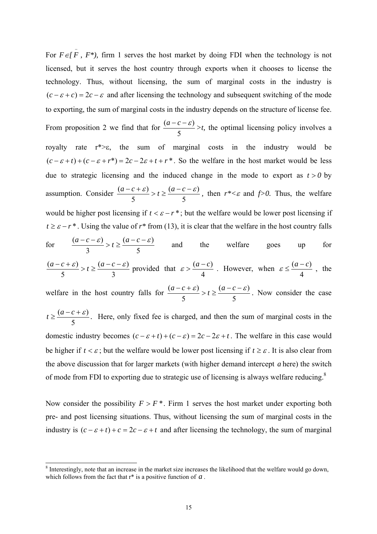For  $F \in [F, F^*),$  firm 1 serves the host market by doing FDI when the technology is not licensed, but it serves the host country through exports when it chooses to license the technology. Thus, without licensing, the sum of marginal costs in the industry is  $(c - \varepsilon + c) = 2c - \varepsilon$  and after licensing the technology and subsequent switching of the mode to exporting, the sum of marginal costs in the industry depends on the structure of license fee. From proposition 2 we find that for 5  $\frac{(a-c-\varepsilon)}{2}$  >*t*, the optimal licensing policy involves a royalty rate  $r^* > \varepsilon$ , the sum of marginal costs in the industry would be  $(c - \varepsilon + t) + (c - \varepsilon + r^*) = 2c - 2\varepsilon + t + r^*$ . So the welfare in the host market would be less due to strategic licensing and the induced change in the mode to export as  $t > 0$  by assumption. Consider 5  $(a-c-\varepsilon)$ 5  $\frac{(a-c+\varepsilon)}{2}$  >  $t \ge \frac{(a-c-\varepsilon)}{2}$ , then  $r^* < \varepsilon$  and  $f > 0$ . Thus, the welfare would be higher post licensing if  $t < \varepsilon - r^*$ ; but the welfare would be lower post licensing if *t* ≥  $\varepsilon$  – *r*<sup>\*</sup>. Using the value of *r*<sup>\*</sup> from (13), it is clear that the welfare in the host country falls for 5  $(a-c-\varepsilon)$ 3  $\frac{(a-c-\varepsilon)}{2} > t \ge \frac{(a-c-\varepsilon)}{2}$  and the welfare goes up for 3  $(a-c-\varepsilon)$ 5  $\frac{(a-c+\varepsilon)}{5} > t \ge \frac{(a-c-\varepsilon)}{3}$  provided that  $\varepsilon > \frac{(a-c)}{4}$ . However, when  $\varepsilon \le \frac{(a-c)}{4}$ , the welfare in the host country falls for 5  $(a-c-\varepsilon)$ 5  $\frac{(a-c+\varepsilon)}{2}$  >  $t \ge \frac{(a-c-\varepsilon)}{2}$ . Now consider the case 5  $t \geq \frac{(a-c+\varepsilon)}{2}$ . Here, only fixed fee is charged, and then the sum of marginal costs in the domestic industry becomes  $(c - \varepsilon + t) + (c - \varepsilon) = 2c - 2\varepsilon + t$ . The welfare in this case would be higher if  $t < \varepsilon$ ; but the welfare would be lower post licensing if  $t \geq \varepsilon$ . It is also clear from the above discussion that for larger markets (with higher demand intercept *a* here) the switch of mode from FDI to exporting due to strategic use of licensing is always welfare reducing.<sup>[8](#page-15-0)</sup>

Now consider the possibility  $F > F^*$ . Firm 1 serves the host market under exporting both pre- and post licensing situations. Thus, without licensing the sum of marginal costs in the industry is  $(c - \varepsilon + t) + c = 2c - \varepsilon + t$  and after licensing the technology, the sum of marginal

<span id="page-15-0"></span> <sup>8</sup> <sup>8</sup> Interestingly, note that an increase in the market size increases the likelihood that the welfare would go down, which follows from the fact that r\* is a positive function of *a* .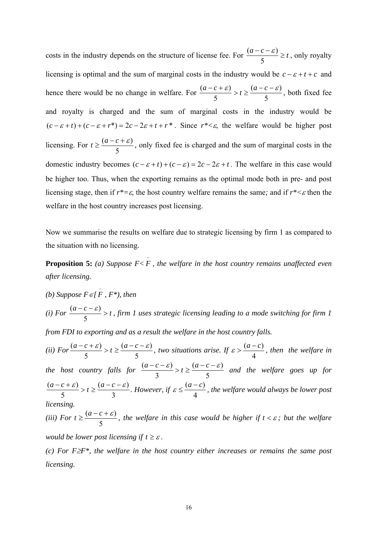costs in the industry depends on the structure of license fee. For  $\frac{(a-c-\varepsilon)}{2} \ge t$ 5  $\frac{(a-c-\varepsilon)}{2} \geq t$ , only royalty licensing is optimal and the sum of marginal costs in the industry would be  $c - \varepsilon + t + c$  and hence there would be no change in welfare. For 5  $(a-c-\varepsilon)$ 5  $\frac{(a-c+\varepsilon)}{a}$  >  $t \ge \frac{(a-c-\varepsilon)}{a}$ , both fixed fee and royalty is charged and the sum of marginal costs in the industry would be  $(c - \varepsilon + t) + (c - \varepsilon + r^*) = 2c - 2\varepsilon + t + r^*$ . Since  $r^* < \varepsilon$ , the welfare would be higher post licensing. For 5  $t \geq \frac{(a-c+\varepsilon)}{2}$ , only fixed fee is charged and the sum of marginal costs in the domestic industry becomes  $(c - \varepsilon + t) + (c - \varepsilon) = 2c - 2\varepsilon + t$ . The welfare in this case would be higher too. Thus, when the exporting remains as the optimal mode both in pre- and post licensing stage, then if  $r^* = \varepsilon$ , the host country welfare remains the same; and if  $r^* < \varepsilon$  then the welfare in the host country increases post licensing.

Now we summarise the results on welfare due to strategic licensing by firm 1 as compared to the situation with no licensing.

**Proposition 5:** (a) Suppose F< F, the welfare in the host country remains unaffected even *after licensing.* 

*(b)* Suppose  $F \in [F, F^*],$  then *(i)* For  $\frac{(a-c-\varepsilon)}{a} > t$ 5  $\frac{(a-c-\varepsilon)}{2}$  > t, firm 1 uses strategic licensing leading to a mode switching for firm 1 *from FDI to exporting and as a result the welfare in the host country falls.* 

*(ii) For* 5  $(a-c-\varepsilon)$ 5  $\frac{(a-c+\varepsilon)}{5}$  >  $t \ge \frac{(a-c-\varepsilon)}{5}$ , two situations arise. If  $\varepsilon > \frac{(a-c)}{4}$ , then the welfare in *the host country falls for*  $\frac{(a-c-\varepsilon)}{3} > t \ge \frac{(a-c-\varepsilon)}{5}$ 3  $\frac{(a-c-\varepsilon)}{2}$  >  $t \geq \frac{(a-c-\varepsilon)}{2}$  and the welfare goes up for 3  $(a-c-\varepsilon)$ 5  $\frac{(a-c+\varepsilon)}{5}$  >  $t \geq \frac{(a-c-\varepsilon)}{3}$ . However, if  $\varepsilon \leq \frac{(a-c)}{4}$ , the welfare would always be lower post *licensing.* 

*(iii) For*  5  $t \geq \frac{(a-c+\varepsilon)}{2}$ , the welfare in this case would be higher if  $t < \varepsilon$ ; but the welfare *would be lower post licensing if*  $t \geq \varepsilon$ *.* 

*(c) For F*≥*F\*, the welfare in the host country either increases or remains the same post licensing.*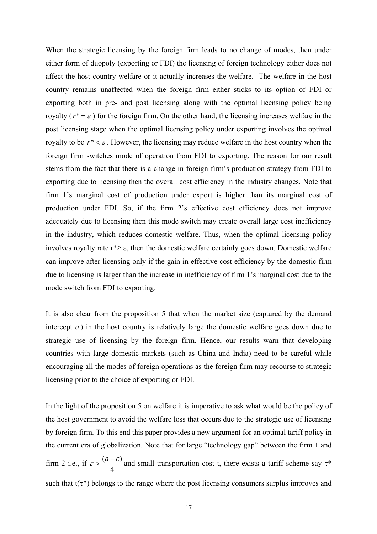When the strategic licensing by the foreign firm leads to no change of modes, then under either form of duopoly (exporting or FDI) the licensing of foreign technology either does not affect the host country welfare or it actually increases the welfare. The welfare in the host country remains unaffected when the foreign firm either sticks to its option of FDI or exporting both in pre- and post licensing along with the optimal licensing policy being royalty ( $r^* = \varepsilon$ ) for the foreign firm. On the other hand, the licensing increases welfare in the post licensing stage when the optimal licensing policy under exporting involves the optimal royalty to be  $r^* < \varepsilon$ . However, the licensing may reduce welfare in the host country when the foreign firm switches mode of operation from FDI to exporting. The reason for our result stems from the fact that there is a change in foreign firm's production strategy from FDI to exporting due to licensing then the overall cost efficiency in the industry changes. Note that firm 1's marginal cost of production under export is higher than its marginal cost of production under FDI. So, if the firm 2's effective cost efficiency does not improve adequately due to licensing then this mode switch may create overall large cost inefficiency in the industry, which reduces domestic welfare. Thus, when the optimal licensing policy involves royalty rate  $r^* \geq \varepsilon$ , then the domestic welfare certainly goes down. Domestic welfare can improve after licensing only if the gain in effective cost efficiency by the domestic firm due to licensing is larger than the increase in inefficiency of firm 1's marginal cost due to the mode switch from FDI to exporting.

It is also clear from the proposition 5 that when the market size (captured by the demand intercept *a*) in the host country is relatively large the domestic welfare goes down due to strategic use of licensing by the foreign firm. Hence, our results warn that developing countries with large domestic markets (such as China and India) need to be careful while encouraging all the modes of foreign operations as the foreign firm may recourse to strategic licensing prior to the choice of exporting or FDI.

In the light of the proposition 5 on welfare it is imperative to ask what would be the policy of the host government to avoid the welfare loss that occurs due to the strategic use of licensing by foreign firm. To this end this paper provides a new argument for an optimal tariff policy in the current era of globalization. Note that for large "technology gap" between the firm 1 and firm 2 i.e., if  $\varepsilon > \frac{(a-c)}{4}$  and small transportation cost t, there exists a tariff scheme say  $\tau^*$ such that  $t(\tau^*)$  belongs to the range where the post licensing consumers surplus improves and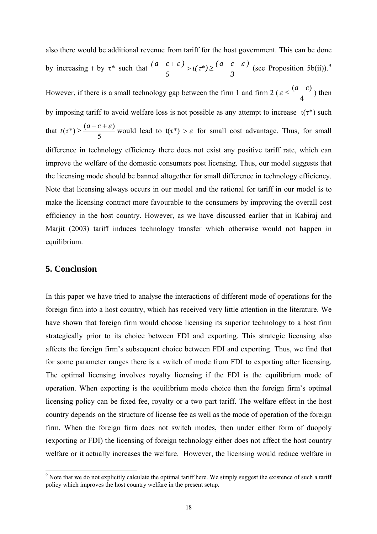also there would be additional revenue from tariff for the host government. This can be done by increasing t by  $\tau^*$  such that  $\frac{(a-c+\varepsilon)}{5}$  >  $t(\tau^*)$   $\geq \frac{(a-c-\varepsilon)}{3}$  (see Proposition 5b(ii)).<sup>[9](#page-18-0)</sup> However, if there is a small technology gap between the firm 1 and firm 2 ( $\varepsilon \leq \frac{(a-c)}{4}$ ) then by imposing tariff to avoid welfare loss is not possible as any attempt to increase  $t(\tau^*)$  such that 5  $t(\tau^*) \geq \frac{(a-c+\varepsilon)}{2}$  would lead to  $t(\tau^*) > \varepsilon$  for small cost advantage. Thus, for small difference in technology efficiency there does not exist any positive tariff rate, which can improve the welfare of the domestic consumers post licensing. Thus, our model suggests that the licensing mode should be banned altogether for small difference in technology efficiency. Note that licensing always occurs in our model and the rational for tariff in our model is to make the licensing contract more favourable to the consumers by improving the overall cost efficiency in the host country. However, as we have discussed earlier that in Kabiraj and Marjit (2003) tariff induces technology transfer which otherwise would not happen in equilibrium.

### **5. Conclusion**

In this paper we have tried to analyse the interactions of different mode of operations for the foreign firm into a host country, which has received very little attention in the literature. We have shown that foreign firm would choose licensing its superior technology to a host firm strategically prior to its choice between FDI and exporting. This strategic licensing also affects the foreign firm's subsequent choice between FDI and exporting. Thus, we find that for some parameter ranges there is a switch of mode from FDI to exporting after licensing. The optimal licensing involves royalty licensing if the FDI is the equilibrium mode of operation. When exporting is the equilibrium mode choice then the foreign firm's optimal licensing policy can be fixed fee, royalty or a two part tariff. The welfare effect in the host country depends on the structure of license fee as well as the mode of operation of the foreign firm. When the foreign firm does not switch modes, then under either form of duopoly (exporting or FDI) the licensing of foreign technology either does not affect the host country welfare or it actually increases the welfare. However, the licensing would reduce welfare in

<span id="page-18-0"></span><sup>9</sup> <sup>9</sup> Note that we do not explicitly calculate the optimal tariff here. We simply suggest the existence of such a tariff policy which improves the host country welfare in the present setup.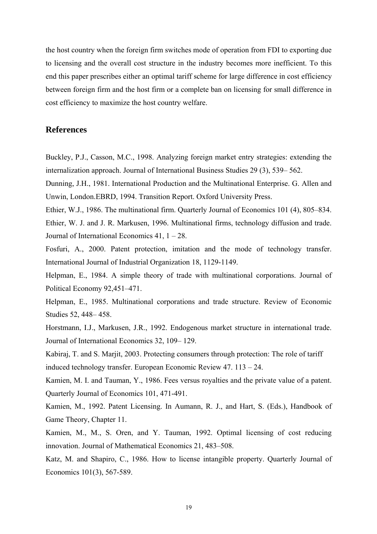the host country when the foreign firm switches mode of operation from FDI to exporting due to licensing and the overall cost structure in the industry becomes more inefficient. To this end this paper prescribes either an optimal tariff scheme for large difference in cost efficiency between foreign firm and the host firm or a complete ban on licensing for small difference in cost efficiency to maximize the host country welfare.

### **References**

Buckley, P.J., Casson, M.C., 1998. Analyzing foreign market entry strategies: extending the internalization approach. Journal of International Business Studies 29 (3), 539– 562.

Dunning, J.H., 1981. International Production and the Multinational Enterprise. G. Allen and Unwin, London.EBRD, 1994. Transition Report. Oxford University Press.

Ethier, W.J., 1986. The multinational firm. Quarterly Journal of Economics 101 (4), 805–834. Ethier, W. J. and J. R. Markusen, 1996. Multinational firms, technology diffusion and trade. Journal of International Economics 41, 1 – 28.

Fosfuri, A., 2000. Patent protection, imitation and the mode of technology transfer. International Journal of Industrial Organization 18, 1129-1149.

Helpman, E., 1984. A simple theory of trade with multinational corporations. Journal of Political Economy 92,451–471.

Helpman, E., 1985. Multinational corporations and trade structure. Review of Economic Studies 52, 448– 458.

Horstmann, I.J., Markusen, J.R., 1992. Endogenous market structure in international trade. Journal of International Economics 32, 109– 129.

Kabiraj, T. and S. Marjit, 2003. Protecting consumers through protection: The role of tariff induced technology transfer. European Economic Review 47. 113 – 24.

Kamien, M. I. and Tauman, Y., 1986. Fees versus royalties and the private value of a patent. Quarterly Journal of Economics 101, 471-491.

Kamien, M., 1992. Patent Licensing. In Aumann, R. J., and Hart, S. (Eds.), Handbook of Game Theory, Chapter 11.

Kamien, M., M., S. Oren, and Y. Tauman, 1992. Optimal licensing of cost reducing innovation. Journal of Mathematical Economics 21, 483–508.

Katz, M. and Shapiro, C., 1986. How to license intangible property. Quarterly Journal of Economics 101(3), 567-589.